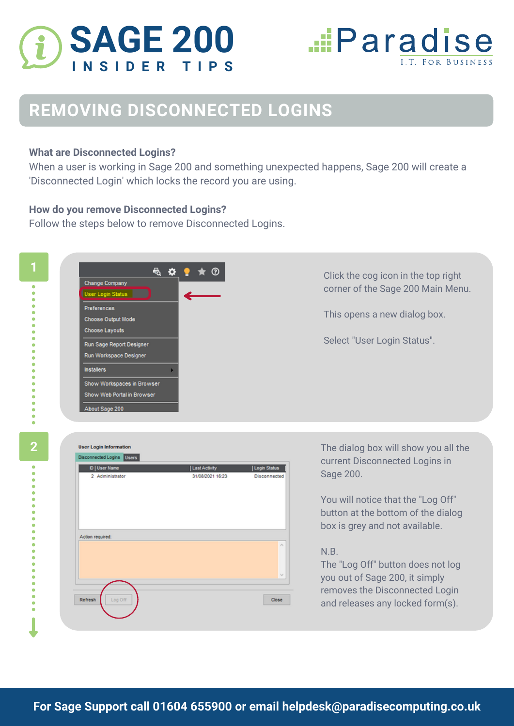



## **REMOVING DISCONNECTED LOGINS**

## **What are Disconnected Logins?**

When a user is working in Sage 200 and something unexpected happens, Sage 200 will create a 'Disconnected Login' which locks the record you are using.

## **How do you remove Disconnected Logins?**

Follow the steps below to remove Disconnected Logins.